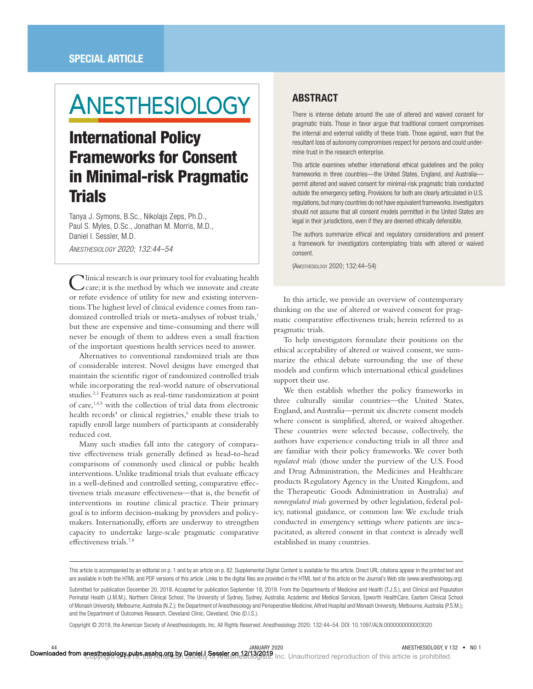# **ANESTHESIOLOGY**

# International Policy Frameworks for Consent in Minimal-risk Pragmatic **Trials**

Tanya J. Symons, B.Sc., Nikolajs Zeps, Ph.D., Paul S. Myles, D.Sc., Jonathan M. Morris, M.D., Daniel I. Sessler, M.D.

*ANESTHESIOLOGY 2020; 132:44–54*

Clinical research is our primary tool for evaluating health care; it is the method by which we innovate and create or refute evidence of utility for new and existing interventions. The highest level of clinical evidence comes from randomized controlled trials or meta-analyses of robust trials,<sup>1</sup> but these are expensive and time-consuming and there will never be enough of them to address even a small fraction of the important questions health services need to answer.

Alternatives to conventional randomized trials are thus of considerable interest. Novel designs have emerged that maintain the scientific rigor of randomized controlled trials while incorporating the real-world nature of observational studies.2,3 Features such as real-time randomization at point of care,<sup>1,4,5</sup> with the collection of trial data from electronic health records<sup>4</sup> or clinical registries,<sup>6</sup> enable these trials to rapidly enroll large numbers of participants at considerably reduced cost.

Many such studies fall into the category of comparative effectiveness trials generally defined as head-to-head comparisons of commonly used clinical or public health interventions. Unlike traditional trials that evaluate efficacy in a well-defined and controlled setting, comparative effectiveness trials measure effectiveness—that is, the benefit of interventions in routine clinical practice. Their primary goal is to inform decision-making by providers and policymakers. Internationally, efforts are underway to strengthen capacity to undertake large-scale pragmatic comparative effectiveness trials.<sup>7,8</sup>

# ABSTRACT

There is intense debate around the use of altered and waived consent for pragmatic trials. Those in favor argue that traditional consent compromises the internal and external validity of these trials. Those against, warn that the resultant loss of autonomy compromises respect for persons and could undermine trust in the research enterprise.

This article examines whether international ethical guidelines and the policy frameworks in three countries—the United States, England, and Australia permit altered and waived consent for minimal-risk pragmatic trials conducted outside the emergency setting. Provisions for both are clearly articulated in U.S. regulations, but many countries do not have equivalent frameworks. Investigators should not assume that all consent models permitted in the United States are legal in their jurisdictions, even if they are deemed ethically defensible.

The authors summarize ethical and regulatory considerations and present a framework for investigators contemplating trials with altered or waived consent.

(ANESTHESIOLOGY 2020; 132:44–54)

In this article, we provide an overview of contemporary thinking on the use of altered or waived consent for pragmatic comparative effectiveness trials; herein referred to as pragmatic trials.

To help investigators formulate their positions on the ethical acceptability of altered or waived consent, we summarize the ethical debate surrounding the use of these models and confirm which international ethical guidelines support their use.

We then establish whether the policy frameworks in three culturally similar countries—the United States, England, and Australia—permit six discrete consent models where consent is simplified, altered, or waived altogether. These countries were selected because, collectively, the authors have experience conducting trials in all three and are familiar with their policy frameworks. We cover both *regulated trials* (those under the purview of the U.S. Food and Drug Administration, the Medicines and Healthcare products Regulatory Agency in the United Kingdom, and the Therapeutic Goods Administration in Australia) *and nonregulated trials* governed by other legislation, federal policy, national guidance, or common law. We exclude trials conducted in emergency settings where patients are incapacitated, as altered consent in that context is already well established in many countries.

Copyright © 2019, the American Society of Anesthesiologists, Inc. All Rights Reserved. Anesthesiology 2020; 132:44–54. DOI: 10.1097/ALN.0000000000003020

This article is accompanied by an editorial on p. 1 and by an article on p. 82. Supplemental Digital Content is available for this article. Direct URL citations appear in the printed text and are available in both the HTML and PDF versions of this article. Links to the digital files are provided in the HTML text of this article on the Journal's Web site [\(www.anesthesiology.org](www.anesthesiology.org)).

Submitted for publication December 20, 2018. Accepted for publication September 18, 2019. From the Departments of Medicine and Health (T.J.S.), and Clinical and Population Perinatal Health (J.M.M.), Northern Clinical School, The University of Sydney, Sydney, Australia; Academic and Medical Services, Epworth HealthCare, Eastern Clinical School of Monash University, Melbourne, Australia (N.Z.); the Department of Anesthesiology and Perioperative Medicine, Alfred Hospital and Monash University, Melbourne, Australia (P.S.M.); and the Department of Outcomes Research, Cleveland Clinic, Cleveland, Ohio (D.I.S.).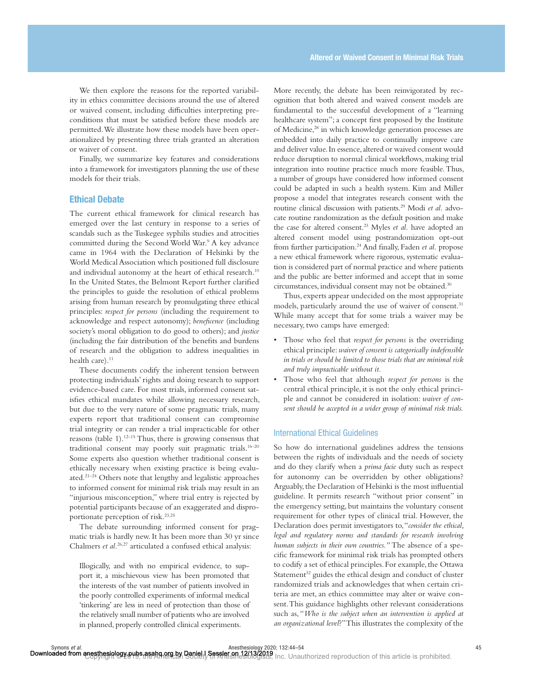We then explore the reasons for the reported variability in ethics committee decisions around the use of altered or waived consent, including difficulties interpreting preconditions that must be satisfied before these models are permitted. We illustrate how these models have been operationalized by presenting three trials granted an alteration or waiver of consent.

Finally, we summarize key features and considerations into a framework for investigators planning the use of these models for their trials.

# Ethical Debate

The current ethical framework for clinical research has emerged over the last century in response to a series of scandals such as the Tuskegee syphilis studies and atrocities committed during the Second World War.<sup>9</sup> A key advance came in 1964 with the Declaration of Helsinki by the World Medical Association which positioned full disclosure and individual autonomy at the heart of ethical research.<sup>10</sup> In the United States, the Belmont Report further clarified the principles to guide the resolution of ethical problems arising from human research by promulgating three ethical principles: *respect for persons* (including the requirement to acknowledge and respect autonomy); *beneficence* (including society's moral obligation to do good to others); and *justice* (including the fair distribution of the benefits and burdens of research and the obligation to address inequalities in health care). $11$ 

These documents codify the inherent tension between protecting individuals' rights and doing research to support evidence-based care. For most trials, informed consent satisfies ethical mandates while allowing necessary research, but due to the very nature of some pragmatic trials, many experts report that traditional consent can compromise trial integrity or can render a trial impracticable for other reasons (table 1).12–15 Thus, there is growing consensus that traditional consent may poorly suit pragmatic trials.16–20 Some experts also question whether traditional consent is ethically necessary when existing practice is being evaluated.21–24 Others note that lengthy and legalistic approaches to informed consent for minimal risk trials may result in an "injurious misconception," where trial entry is rejected by potential participants because of an exaggerated and disproportionate perception of risk.<sup>23,25</sup>

The debate surrounding informed consent for pragmatic trials is hardly new. It has been more than 30 yr since Chalmers *et al.*<sup>26,27</sup> articulated a confused ethical analysis:

Illogically, and with no empirical evidence, to support it, a mischievous view has been promoted that the interests of the vast number of patients involved in the poorly controlled experiments of informal medical 'tinkering' are less in need of protection than those of the relatively small number of patients who are involved in planned, properly controlled clinical experiments.

More recently, the debate has been reinvigorated by recognition that both altered and waived consent models are fundamental to the successful development of a "learning healthcare system"; a concept first proposed by the Institute of Medicine,<sup>28</sup> in which knowledge generation processes are embedded into daily practice to continually improve care and deliver value. In essence, altered or waived consent would reduce disruption to normal clinical workflows, making trial integration into routine practice much more feasible. Thus, a number of groups have considered how informed consent could be adapted in such a health system. Kim and Miller propose a model that integrates research consent with the routine clinical discussion with patients.29 Modi *et al.* advocate routine randomization as the default position and make the case for altered consent.23 Myles *et al.* have adopted an altered consent model using postrandomization opt-out from further participation.<sup>24</sup> And finally, Faden et al. propose a new ethical framework where rigorous, systematic evaluation is considered part of normal practice and where patients and the public are better informed and accept that in some circumstances, individual consent may not be obtained.30

Thus, experts appear undecided on the most appropriate models, particularly around the use of waiver of consent.<sup>31</sup> While many accept that for some trials a waiver may be necessary, two camps have emerged:

- Those who feel that *respect for persons* is the overriding ethical principle: *waiver of consent is categorically indefensible in trials or should be limited to those trials that are minimal risk and truly impracticable without it.*
- Those who feel that although *respect for persons* is the central ethical principle, it is not the only ethical principle and cannot be considered in isolation: *waiver of consent should be accepted in a wider group of minimal risk trials.*

## International Ethical Guidelines

So how do international guidelines address the tensions between the rights of individuals and the needs of society and do they clarify when a *prima facie* duty such as respect for autonomy can be overridden by other obligations? Arguably, the Declaration of Helsinki is the most influential guideline. It permits research "without prior consent" in the emergency setting, but maintains the voluntary consent requirement for other types of clinical trial. However, the Declaration does permit investigators to, "*consider the ethical, legal and regulatory norms and standards for research involving human subjects in their own countries."* The absence of a specific framework for minimal risk trials has prompted others to codify a set of ethical principles. For example, the Ottawa Statement<sup>32</sup> guides the ethical design and conduct of cluster randomized trials and acknowledges that when certain criteria are met, an ethics committee may alter or waive consent. This guidance highlights other relevant considerations such as, "*Who is the subject when an intervention is applied at an organizational level*?" This illustrates the complexity of the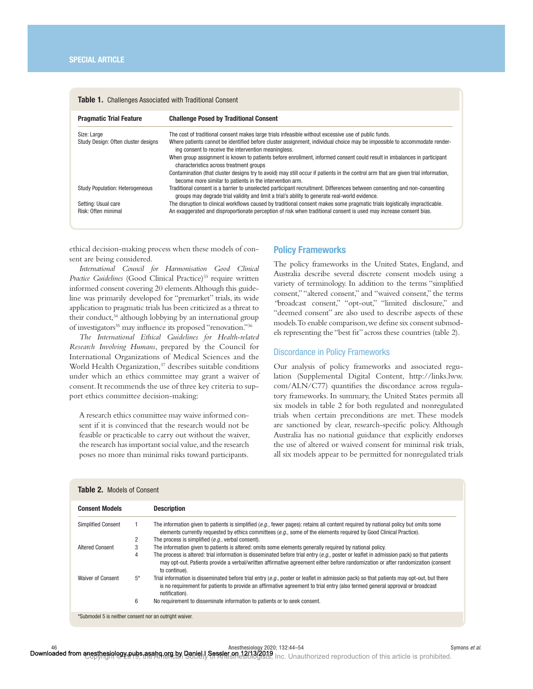| <b>Pragmatic Trial Feature</b>         | <b>Challenge Posed by Traditional Consent</b>                                                                                                                                                                               |
|----------------------------------------|-----------------------------------------------------------------------------------------------------------------------------------------------------------------------------------------------------------------------------|
| Size: Large                            | The cost of traditional consent makes large trials infeasible without excessive use of public funds.                                                                                                                        |
| Study Design: Often cluster designs    | Where patients cannot be identified before cluster assignment, individual choice may be impossible to accommodate render-<br>ing consent to receive the intervention meaningless.                                           |
|                                        | When group assignment is known to patients before enrollment, informed consent could result in imbalances in participant<br>characteristics across treatment groups                                                         |
|                                        | Contamination (that cluster designs try to avoid) may still occur if patients in the control arm that are given trial information,<br>become more similar to patients in the intervention arm.                              |
| <b>Study Population: Heterogeneous</b> | Traditional consent is a barrier to unselected participant recruitment. Differences between consenting and non-consenting<br>groups may degrade trial validity and limit a trial's ability to generate real-world evidence. |
| Setting: Usual care                    | The disruption to clinical workflows caused by traditional consent makes some pragmatic trials logistically impracticable.                                                                                                  |
| Risk: Often minimal                    | An exaggerated and disproportionate perception of risk when traditional consent is used may increase consent bias.                                                                                                          |
|                                        |                                                                                                                                                                                                                             |

#### Table 1. Challenges Associated with Traditional Consent

ethical decision-making process when these models of consent are being considered.

*International Council for Harmonisation Good Clinical*  Practice Guidelines (Good Clinical Practice)<sup>33</sup> require written informed consent covering 20 elements. Although this guideline was primarily developed for "premarket" trials, its wide application to pragmatic trials has been criticized as a threat to their conduct,<sup>34</sup> although lobbying by an international group of investigators<sup>35</sup> may influence its proposed "renovation."<sup>36</sup>

*The International Ethical Guidelines for Health-related Research Involving Humans*, prepared by the Council for International Organizations of Medical Sciences and the World Health Organization,<sup>37</sup> describes suitable conditions under which an ethics committee may grant a waiver of consent. It recommends the use of three key criteria to support ethics committee decision-making:

A research ethics committee may waive informed consent if it is convinced that the research would not be feasible or practicable to carry out without the waiver, the research has important social value, and the research poses no more than minimal risks toward participants.

# Policy Frameworks

The policy frameworks in the United States, England, and Australia describe several discrete consent models using a variety of terminology. In addition to the terms "simplified consent," "altered consent," and "waived consent," the terms *"*broadcast consent," "opt-out," "limited disclosure," and "deemed consent" are also used to describe aspects of these models. To enable comparison, we define six consent submodels representing the "best fit" across these countries (table 2).

#### Discordance in Policy Frameworks

Our analysis of policy frameworks and associated regulation (Supplemental Digital Content, [http://links.lww.](http://links.lww.com/ALN/C77)  $com/ALN/C77$ ) quantifies the discordance across regulatory frameworks. In summary, the United States permits all six models in table 2 for both regulated and nonregulated trials when certain preconditions are met. These models are sanctioned by clear, research-specific policy. Although Australia has no national guidance that explicitly endorses the use of altered or waived consent for minimal risk trials, all six models appear to be permitted for nonregulated trials

| <b>Consent Models</b>     |       | <b>Description</b>                                                                                                                                                                                                                                                                               |
|---------------------------|-------|--------------------------------------------------------------------------------------------------------------------------------------------------------------------------------------------------------------------------------------------------------------------------------------------------|
| <b>Simplified Consent</b> |       | The information given to patients is simplified (e.g., fewer pages): retains all content required by national policy but omits some<br>elements currently requested by ethics committees (e.g., some of the elements required by Good Clinical Practice).                                        |
|                           | 2     | The process is simplified (e.g., verbal consent).                                                                                                                                                                                                                                                |
| <b>Altered Consent</b>    |       | The information given to patients is altered: omits some elements generally required by national policy.                                                                                                                                                                                         |
|                           | 4     | The process is altered: trial information is disseminated before trial entry $(e.a.,$ poster or leaflet in admission pack) so that patients<br>may opt-out. Patients provide a verbal/written affirmative agreement either before randomization or after randomization (consent<br>to continue). |
| Waiver of Consent         | $5^*$ | Trial information is disseminated before trial entry (e.g., poster or leaflet in admission pack) so that patients may opt-out, but there<br>is no requirement for patients to provide an affirmative agreement to trial entry (also termed general approval or broadcast<br>notification).       |
|                           | 6     | No requirement to disseminate information to patients or to seek consent.                                                                                                                                                                                                                        |

46 Symons *et al.*<br>Downloaded from anesthesiology pubs.asahq.org.by Daniel,I Sessler on 12/13/2019 is al.<br>Downloaded from anesthesiology pubs, asahq.org.by Daniel,I Sessler on Alias.html Shares inc. Unauthorized reproducti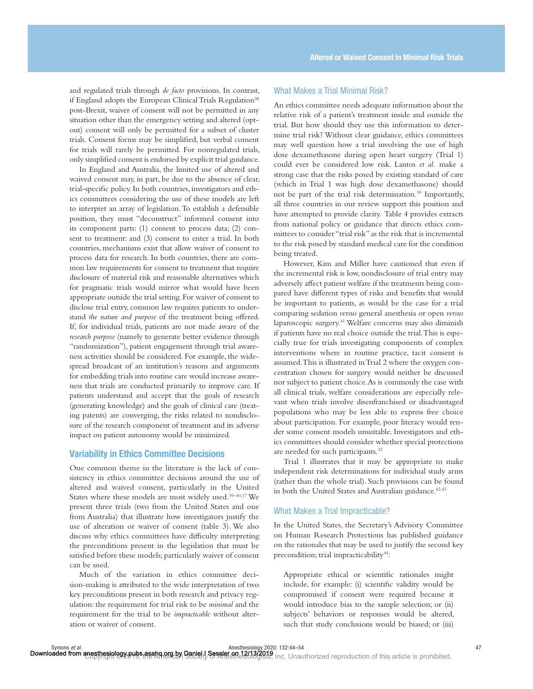and regulated trials through *de facto* provisions. In contrast, if England adopts the European Clinical Trials Regulation<sup>38</sup> post-Brexit, waiver of consent will not be permitted in any situation other than the emergency setting and altered (optout) consent will only be permitted for a subset of cluster trials. Consent forms may be simplified, but verbal consent for trials will rarely be permitted. For nonregulated trials, only simplified consent is endorsed by explicit trial guidance.

In England and Australia, the limited use of altered and waived consent may, in part, be due to the absence of clear, trial-specific policy. In both countries, investigators and ethics committees considering the use of these models are left to interpret an array of legislation. To establish a defensible position, they must "deconstruct" informed consent into its component parts: (1) consent to process data; (2) consent to treatment: and (3) consent to enter a trial. In both countries, mechanisms exist that allow waiver of consent to process data for research. In both countries, there are common law requirements for consent to treatment that require disclosure of material risk and reasonable alternatives which for pragmatic trials would mirror what would have been appropriate outside the trial setting. For waiver of consent to disclose trial entry, common law requires patients to understand *the nature and purpose* of the treatment being offered. If, for individual trials, patients are not made aware of the *research purpose* (namely to generate better evidence through "randomization"), patient engagement through trial awareness activities should be considered. For example, the widespread broadcast of an institution's reasons and arguments for embedding trials into routine care would increase awareness that trials are conducted primarily to improve care. If patients understand and accept that the goals of research (generating knowledge) and the goals of clinical care (treating patents) are converging, the risks related to nondisclosure of the research component of treatment and its adverse impact on patient autonomy would be minimized.

# Variability in Ethics Committee Decisions

One common theme in the literature is the lack of consistency in ethics committee decisions around the use of altered and waived consent, particularly in the United States where these models are most widely used.39–40,17 We present three trials (two from the United States and one from Australia) that illustrate how investigators justify the use of alteration or waiver of consent (table 3). We also discuss why ethics committees have difficulty interpreting the preconditions present in the legislation that must be satisfied before these models; particularly waiver of consent can be used.

Much of the variation in ethics committee decision-making is attributed to the wide interpretation of two key preconditions present in both research and privacy regulation: the requirement for trial risk to be *minimal* and the requirement for the trial to be *impracticable* without alteration or waiver of consent.

# What Makes a Trial Minimal Risk?

An ethics committee needs adequate information about the relative risk of a patient's treatment inside and outside the trial. But how should they use this information to determine trial risk? Without clear guidance, ethics committees may well question how a trial involving the use of high dose dexamethasone during open heart surgery (Trial 1) could ever be considered low risk. Lantos *et al.* make a strong case that the risks posed by existing standard of care (which in Trial 1 was high dose dexamethasone) should not be part of the trial risk determination.39 Importantly, all three countries in our review support this position and have attempted to provide clarity. Table 4 provides extracts from national policy or guidance that directs ethics committees to consider "trial risk" as the risk that is incremental to the risk posed by standard medical care for the condition being treated.

However, Kim and Miller have cautioned that even if the incremental risk is low, nondisclosure of trial entry may adversely affect patient welfare if the treatments being compared have different types of risks and benefits that would be important to patients, as would be the case for a trial comparing sedation *versus* general anesthesia or open *versus* laparoscopic surgery.41 Welfare concerns may also diminish if patients have no real choice outside the trial. This is especially true for trials investigating components of complex interventions where in routine practice, tacit consent is assumed. This is illustrated in Trial 2 where the oxygen concentration chosen for surgery would neither be discussed nor subject to patient choice. As is commonly the case with all clinical trials, welfare considerations are especially relevant when trials involve disenfranchised or disadvantaged populations who may be less able to express free choice about participation. For example, poor literacy would render some consent models unsuitable. Investigators and ethics committees should consider whether special protections are needed for such participants.32

Trial 1 illustrates that it may be appropriate to make independent risk determinations for individual study arms (rather than the whole trial). Such provisions can be found in both the United States and Australian guidance.<sup>42,43</sup>

# What Makes a Trial Impracticable?

In the United States, the Secretary's Advisory Committee on Human Research Protections has published guidance on the rationales that may be used to justify the second key precondition; trial impracticability<sup>44</sup>:

Appropriate ethical or scientific rationales might include, for example: (i) scientific validity would be compromised if consent were required because it would introduce bias to the sample selection; or (ii) subjects' behaviors or responses would be altered, such that study conclusions would be biased; or (iii)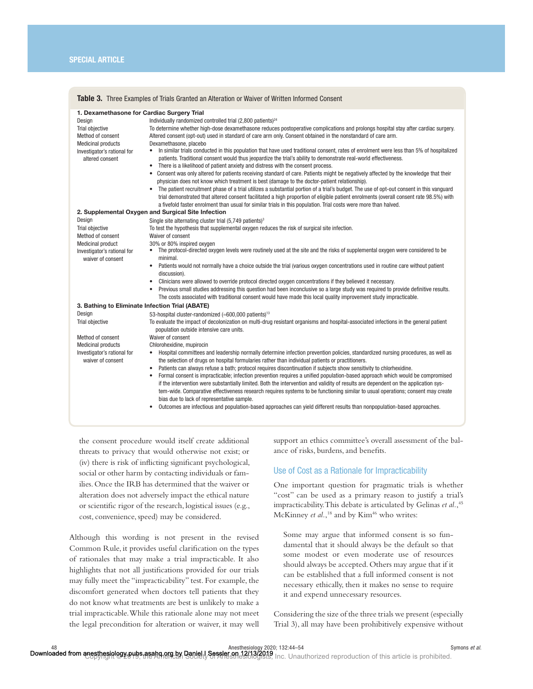| <b>Table 3.</b> Three Examples of Trials Granted an Alteration or Waiver of Written Informed Consent                                                                        |                                                                                                                                                                                                                                                                                                                                                                                                                                                                                                                                                                                                                                                                                                                                                                                                                                                                                                                                                                                                                                                                                                                                                                                                                                                                                                                                                                                           |  |  |  |
|-----------------------------------------------------------------------------------------------------------------------------------------------------------------------------|-------------------------------------------------------------------------------------------------------------------------------------------------------------------------------------------------------------------------------------------------------------------------------------------------------------------------------------------------------------------------------------------------------------------------------------------------------------------------------------------------------------------------------------------------------------------------------------------------------------------------------------------------------------------------------------------------------------------------------------------------------------------------------------------------------------------------------------------------------------------------------------------------------------------------------------------------------------------------------------------------------------------------------------------------------------------------------------------------------------------------------------------------------------------------------------------------------------------------------------------------------------------------------------------------------------------------------------------------------------------------------------------|--|--|--|
| 1. Dexamethasone for Cardiac Surgery Trial<br>Design<br>Trial objective<br>Method of consent<br><b>Medicinal products</b><br>Investigator's rational for<br>altered consent | Individually randomized controlled trial (2,800 patients) <sup>24</sup><br>To determine whether high-dose dexamethasone reduces postoperative complications and prolongs hospital stay after cardiac surgery.<br>Altered consent (opt-out) used in standard of care arm only. Consent obtained in the nonstandard of care arm.<br>Dexamethasone, placebo<br>In similar trials conducted in this population that have used traditional consent, rates of enrolment were less than 5% of hospitalized<br>$\bullet$<br>patients. Traditional consent would thus jeopardize the trial's ability to demonstrate real-world effectiveness.<br>There is a likelihood of patient anxiety and distress with the consent process.<br>$\bullet$<br>• Consent was only altered for patients receiving standard of care. Patients might be negatively affected by the knowledge that their<br>physician does not know which treatment is best (damage to the doctor-patient relationship).<br>• The patient recruitment phase of a trial utilizes a substantial portion of a trial's budget. The use of opt-out consent in this vanguard<br>trial demonstrated that altered consent facilitated a high proportion of eligible patient enrolments (overall consent rate 98.5%) with<br>a fivefold faster enrolment than usual for similar trials in this population. Trial costs were more than halved. |  |  |  |
| 2. Supplemental Oxygen and Surgical Site Infection                                                                                                                          |                                                                                                                                                                                                                                                                                                                                                                                                                                                                                                                                                                                                                                                                                                                                                                                                                                                                                                                                                                                                                                                                                                                                                                                                                                                                                                                                                                                           |  |  |  |
| Design                                                                                                                                                                      | Single site alternating cluster trial $(5.749$ patients) <sup>3</sup>                                                                                                                                                                                                                                                                                                                                                                                                                                                                                                                                                                                                                                                                                                                                                                                                                                                                                                                                                                                                                                                                                                                                                                                                                                                                                                                     |  |  |  |
| Trial objective                                                                                                                                                             | To test the hypothesis that supplemental oxygen reduces the risk of surgical site infection.                                                                                                                                                                                                                                                                                                                                                                                                                                                                                                                                                                                                                                                                                                                                                                                                                                                                                                                                                                                                                                                                                                                                                                                                                                                                                              |  |  |  |
| Method of consent                                                                                                                                                           | Waiver of consent                                                                                                                                                                                                                                                                                                                                                                                                                                                                                                                                                                                                                                                                                                                                                                                                                                                                                                                                                                                                                                                                                                                                                                                                                                                                                                                                                                         |  |  |  |
| <b>Medicinal product</b>                                                                                                                                                    | 30% or 80% inspired oxygen<br>• The protocol-directed oxygen levels were routinely used at the site and the risks of supplemental oxygen were considered to be                                                                                                                                                                                                                                                                                                                                                                                                                                                                                                                                                                                                                                                                                                                                                                                                                                                                                                                                                                                                                                                                                                                                                                                                                            |  |  |  |
| Investigator's rational for<br>waiver of consent                                                                                                                            | minimal.                                                                                                                                                                                                                                                                                                                                                                                                                                                                                                                                                                                                                                                                                                                                                                                                                                                                                                                                                                                                                                                                                                                                                                                                                                                                                                                                                                                  |  |  |  |
|                                                                                                                                                                             | Patients would not normally have a choice outside the trial (various oxygen concentrations used in routine care without patient<br>٠<br>discussion).                                                                                                                                                                                                                                                                                                                                                                                                                                                                                                                                                                                                                                                                                                                                                                                                                                                                                                                                                                                                                                                                                                                                                                                                                                      |  |  |  |
|                                                                                                                                                                             | Clinicians were allowed to override protocol directed oxygen concentrations if they believed it necessary.<br>٠                                                                                                                                                                                                                                                                                                                                                                                                                                                                                                                                                                                                                                                                                                                                                                                                                                                                                                                                                                                                                                                                                                                                                                                                                                                                           |  |  |  |
|                                                                                                                                                                             | Previous small studies addressing this question had been inconclusive so a large study was required to provide definitive results.<br>٠<br>The costs associated with traditional consent would have made this local quality improvement study impracticable.                                                                                                                                                                                                                                                                                                                                                                                                                                                                                                                                                                                                                                                                                                                                                                                                                                                                                                                                                                                                                                                                                                                              |  |  |  |
| 3. Bathing to Eliminate Infection Trial (ABATE)                                                                                                                             |                                                                                                                                                                                                                                                                                                                                                                                                                                                                                                                                                                                                                                                                                                                                                                                                                                                                                                                                                                                                                                                                                                                                                                                                                                                                                                                                                                                           |  |  |  |
| Design                                                                                                                                                                      | 53-hospital cluster-randomized (~600,000 patients) <sup>13</sup>                                                                                                                                                                                                                                                                                                                                                                                                                                                                                                                                                                                                                                                                                                                                                                                                                                                                                                                                                                                                                                                                                                                                                                                                                                                                                                                          |  |  |  |
| Trial objective                                                                                                                                                             | To evaluate the impact of decolonization on multi-drug resistant organisms and hospital-associated infections in the general patient<br>population outside intensive care units.                                                                                                                                                                                                                                                                                                                                                                                                                                                                                                                                                                                                                                                                                                                                                                                                                                                                                                                                                                                                                                                                                                                                                                                                          |  |  |  |
| Method of consent                                                                                                                                                           | Waiver of consent                                                                                                                                                                                                                                                                                                                                                                                                                                                                                                                                                                                                                                                                                                                                                                                                                                                                                                                                                                                                                                                                                                                                                                                                                                                                                                                                                                         |  |  |  |
| <b>Medicinal products</b>                                                                                                                                                   | Chlorohexidine, mupirocin                                                                                                                                                                                                                                                                                                                                                                                                                                                                                                                                                                                                                                                                                                                                                                                                                                                                                                                                                                                                                                                                                                                                                                                                                                                                                                                                                                 |  |  |  |
| Investigator's rational for<br>waiver of consent                                                                                                                            | Hospital committees and leadership normally determine infection prevention policies, standardized nursing procedures, as well as<br>$\bullet$<br>the selection of drugs on hospital formularies rather than individual patients or practitioners.                                                                                                                                                                                                                                                                                                                                                                                                                                                                                                                                                                                                                                                                                                                                                                                                                                                                                                                                                                                                                                                                                                                                         |  |  |  |
|                                                                                                                                                                             | Patients can always refuse a bath; protocol requires discontinuation if subjects show sensitivity to chlorhexidine.<br>٠                                                                                                                                                                                                                                                                                                                                                                                                                                                                                                                                                                                                                                                                                                                                                                                                                                                                                                                                                                                                                                                                                                                                                                                                                                                                  |  |  |  |
|                                                                                                                                                                             | Formal consent is impracticable; infection prevention requires a unified population-based approach which would be compromised<br>٠                                                                                                                                                                                                                                                                                                                                                                                                                                                                                                                                                                                                                                                                                                                                                                                                                                                                                                                                                                                                                                                                                                                                                                                                                                                        |  |  |  |
|                                                                                                                                                                             | if the intervention were substantially limited. Both the intervention and validity of results are dependent on the application sys-                                                                                                                                                                                                                                                                                                                                                                                                                                                                                                                                                                                                                                                                                                                                                                                                                                                                                                                                                                                                                                                                                                                                                                                                                                                       |  |  |  |
|                                                                                                                                                                             | tem-wide. Comparative effectiveness research requires systems to be functioning similar to usual operations; consent may create                                                                                                                                                                                                                                                                                                                                                                                                                                                                                                                                                                                                                                                                                                                                                                                                                                                                                                                                                                                                                                                                                                                                                                                                                                                           |  |  |  |
|                                                                                                                                                                             | bias due to lack of representative sample.                                                                                                                                                                                                                                                                                                                                                                                                                                                                                                                                                                                                                                                                                                                                                                                                                                                                                                                                                                                                                                                                                                                                                                                                                                                                                                                                                |  |  |  |
|                                                                                                                                                                             | Outcomes are infectious and population-based approaches can yield different results than nonpopulation-based approaches.<br>$\bullet$                                                                                                                                                                                                                                                                                                                                                                                                                                                                                                                                                                                                                                                                                                                                                                                                                                                                                                                                                                                                                                                                                                                                                                                                                                                     |  |  |  |
|                                                                                                                                                                             |                                                                                                                                                                                                                                                                                                                                                                                                                                                                                                                                                                                                                                                                                                                                                                                                                                                                                                                                                                                                                                                                                                                                                                                                                                                                                                                                                                                           |  |  |  |

the consent procedure would itself create additional threats to privacy that would otherwise not exist; or (iv) there is risk of inflicting significant psychological, social or other harm by contacting individuals or families. Once the IRB has determined that the waiver or alteration does not adversely impact the ethical nature or scientific rigor of the research, logistical issues (e.g., cost, convenience, speed) may be considered.

Although this wording is not present in the revised Common Rule, it provides useful clarification on the types of rationales that may make a trial impracticable. It also highlights that not all justifications provided for our trials may fully meet the "impracticability" test. For example, the discomfort generated when doctors tell patients that they do not know what treatments are best is unlikely to make a trial impracticable. While this rationale alone may not meet the legal precondition for alteration or waiver, it may well support an ethics committee's overall assessment of the balance of risks, burdens, and benefits.

# Use of Cost as a Rationale for Impracticability

One important question for pragmatic trials is whether "cost" can be used as a primary reason to justify a trial's impracticability. This debate is articulated by Gelinas *et al.*, 45 McKinney *et al.*,<sup>18</sup> and by Kim<sup>46</sup> who writes:

Some may argue that informed consent is so fundamental that it should always be the default so that some modest or even moderate use of resources should always be accepted. Others may argue that if it can be established that a full informed consent is not necessary ethically, then it makes no sense to require it and expend unnecessary resources.

Considering the size of the three trials we present (especially Trial 3), all may have been prohibitively expensive without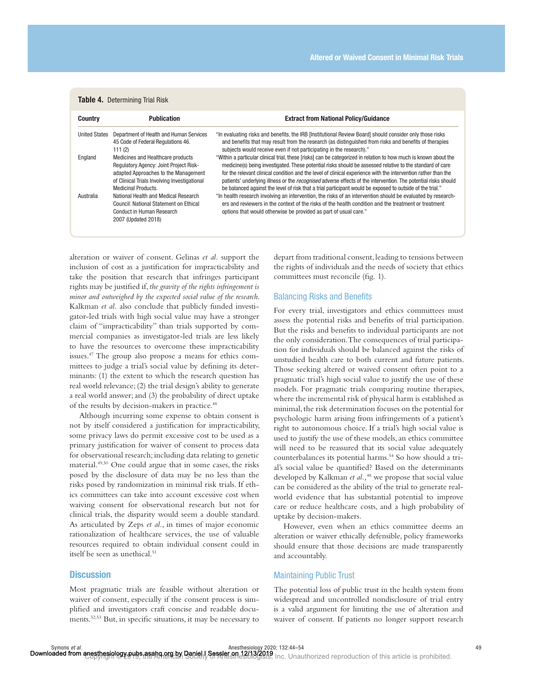# Table 4. Determining Trial Risk

| <b>Country</b>       | <b>Publication</b>                                                                                                                                                                                       | <b>Extract from National Policy/Guidance</b>                                                                                                                                                                                                                                                                                                                                                                                                                                                                                                                                          |
|----------------------|----------------------------------------------------------------------------------------------------------------------------------------------------------------------------------------------------------|---------------------------------------------------------------------------------------------------------------------------------------------------------------------------------------------------------------------------------------------------------------------------------------------------------------------------------------------------------------------------------------------------------------------------------------------------------------------------------------------------------------------------------------------------------------------------------------|
| <b>United States</b> | Department of Health and Human Services<br>45 Code of Federal Regulations 46.<br>111(2)                                                                                                                  | "In evaluating risks and benefits, the IRB [Institutional Review Board] should consider only those risks<br>and benefits that may result from the research (as distinguished from risks and benefits of therapies<br>subjects would receive even if not participating in the research)."                                                                                                                                                                                                                                                                                              |
| England              | Medicines and Healthcare products<br><b>Requlatory Agency: Joint Project Risk-</b><br>adapted Approaches to the Management<br>of Clinical Trials Involving Investigational<br><b>Medicinal Products.</b> | "Within a particular clinical trial, these [risks] can be categorized in relation to how much is known about the<br>medicine(s) being investigated. These potential risks should be assessed relative to the standard of care<br>for the relevant clinical condition and the level of clinical experience with the intervention rather than the<br>patients' underlying illness or the <i>recognised</i> adverse effects of the intervention. The potential risks should<br>be balanced against the level of risk that a trial participant would be exposed to outside of the trial." |
| Australia            | National Health and Medical Research<br>Council: National Statement on Ethical<br>Conduct in Human Research<br>2007 (Updated 2018)                                                                       | "In health research involving an intervention, the risks of an intervention should be evaluated by research-<br>ers and reviewers in the context of the risks of the health condition and the treatment or treatment<br>options that would otherwise be provided as part of usual care."                                                                                                                                                                                                                                                                                              |

alteration or waiver of consent. Gelinas *et al.* support the inclusion of cost as a justification for impracticability and take the position that research that infringes participant rights may be justified if, *the gravity of the rights infringement is minor and outweighed by the expected social value of the research*. Kalkman *et al.* also conclude that publicly funded investigator-led trials with high social value may have a stronger claim of "impracticability" than trials supported by commercial companies as investigator-led trials are less likely to have the resources to overcome these impracticability issues.47 The group also propose a means for ethics committees to judge a trial's social value by defining its determinants: (1) the extent to which the research question has real world relevance; (2) the trial design's ability to generate a real world answer; and (3) the probability of direct uptake of the results by decision-makers in practice.48

Although incurring some expense to obtain consent is not by itself considered a justification for impracticability, some privacy laws do permit excessive cost to be used as a primary justification for waiver of consent to process data for observational research; including data relating to genetic material.49,50 One could argue that in some cases, the risks posed by the disclosure of data may be no less than the risks posed by randomization in minimal risk trials. If ethics committees can take into account excessive cost when waiving consent for observational research but not for clinical trials, the disparity would seem a double standard. As articulated by Zeps *et al.*, in times of major economic rationalization of healthcare services, the use of valuable resources required to obtain individual consent could in itself be seen as unethical.<sup>51</sup>

# **Discussion**

Most pragmatic trials are feasible without alteration or waiver of consent, especially if the consent process is simplified and investigators craft concise and readable documents.<sup>52,53</sup> But, in specific situations, it may be necessary to depart from traditional consent, leading to tensions between the rights of individuals and the needs of society that ethics committees must reconcile (fig. 1).

# Balancing Risks and Benefits

For every trial, investigators and ethics committees must assess the potential risks and benefits of trial participation. But the risks and benefits to individual participants are not the only consideration. The consequences of trial participation for individuals should be balanced against the risks of unstudied health care to both current and future patients. Those seeking altered or waived consent often point to a pragmatic trial's high social value to justify the use of these models. For pragmatic trials comparing routine therapies, where the incremental risk of physical harm is established as minimal, the risk determination focuses on the potential for psychologic harm arising from infringements of a patient's right to autonomous choice. If a trial's high social value is used to justify the use of these models, an ethics committee will need to be reassured that its social value adequately counterbalances its potential harms.<sup>54</sup> So how should a trial's social value be quantified? Based on the determinants developed by Kalkman *et al.*,<sup>48</sup> we propose that social value can be considered as the ability of the trial to generate realworld evidence that has substantial potential to improve care or reduce healthcare costs, and a high probability of uptake by decision-makers.

However, even when an ethics committee deems an alteration or waiver ethically defensible, policy frameworks should ensure that those decisions are made transparently and accountably.

#### Maintaining Public Trust

The potential loss of public trust in the health system from widespread and uncontrolled nondisclosure of trial entry is a valid argument for limiting the use of alteration and waiver of consent. If patients no longer support research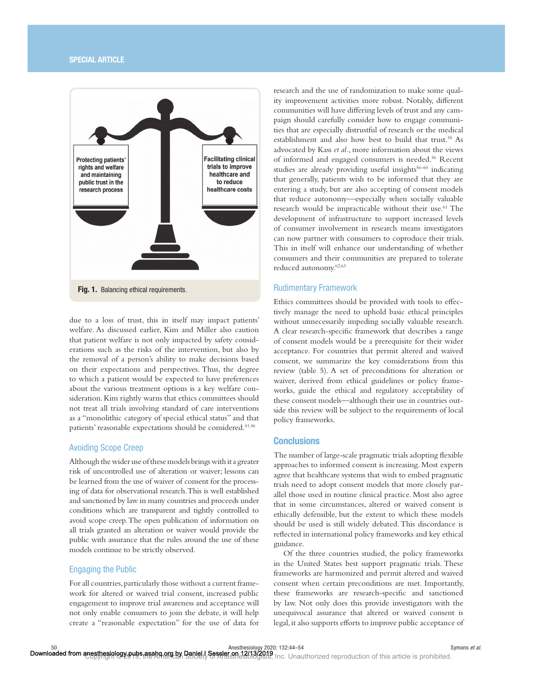# SPECIAL ARTICLE



due to a loss of trust, this in itself may impact patients' welfare. As discussed earlier, Kim and Miller also caution that patient welfare is not only impacted by safety considerations such as the risks of the intervention, but also by the removal of a person's ability to make decisions based on their expectations and perspectives. Thus, the degree to which a patient would be expected to have preferences about the various treatment options is a key welfare consideration. Kim rightly warns that ethics committees should not treat all trials involving standard of care interventions as a "monolithic category of special ethical status" and that patients' reasonable expectations should be considered.<sup>41,46</sup>

# Avoiding Scope Creep

Although the wider use of these models brings with it a greater risk of uncontrolled use of alteration or waiver; lessons can be learned from the use of waiver of consent for the processing of data for observational research. This is well established and sanctioned by law in many countries and proceeds under conditions which are transparent and tightly controlled to avoid scope creep. The open publication of information on all trials granted an alteration or waiver would provide the public with assurance that the rules around the use of these models continue to be strictly observed.

# Engaging the Public

For all countries, particularly those without a current framework for altered or waived trial consent, increased public engagement to improve trial awareness and acceptance will not only enable consumers to join the debate, it will help create a "reasonable expectation" for the use of data for

research and the use of randomization to make some quality improvement activities more robust. Notably, different communities will have differing levels of trust and any campaign should carefully consider how to engage communities that are especially distrustful of research or the medical establishment and also how best to build that trust.<sup>55</sup> As advocated by Kass *et al.*, more information about the views of informed and engaged consumers is needed.56 Recent studies are already providing useful insights<sup>56-60</sup> indicating that generally, patients wish to be informed that they are entering a study, but are also accepting of consent models that reduce autonomy—especially when socially valuable research would be impracticable without their use.<sup>61</sup> The development of infrastructure to support increased levels of consumer involvement in research means investigators can now partner with consumers to coproduce their trials. This in itself will enhance our understanding of whether consumers and their communities are prepared to tolerate reduced autonomy.62,63

# Rudimentary Framework

Ethics committees should be provided with tools to effectively manage the need to uphold basic ethical principles without unnecessarily impeding socially valuable research. A clear research-specific framework that describes a range of consent models would be a prerequisite for their wider acceptance. For countries that permit altered and waived consent, we summarize the key considerations from this review (table 5). A set of preconditions for alteration or waiver, derived from ethical guidelines or policy frameworks, guide the ethical and regulatory acceptability of these consent models—although their use in countries outside this review will be subject to the requirements of local policy frameworks.

# **Conclusions**

The number of large-scale pragmatic trials adopting flexible approaches to informed consent is increasing. Most experts agree that healthcare systems that wish to embed pragmatic trials need to adopt consent models that more closely parallel those used in routine clinical practice. Most also agree that in some circumstances, altered or waived consent is ethically defensible, but the extent to which these models should be used is still widely debated. This discordance is reflected in international policy frameworks and key ethical guidance.

Of the three countries studied, the policy frameworks in the United States best support pragmatic trials. These frameworks are harmonized and permit altered and waived consent when certain preconditions are met. Importantly, these frameworks are research-specific and sanctioned by law. Not only does this provide investigators with the unequivocal assurance that altered or waived consent is legal, it also supports efforts to improve public acceptance of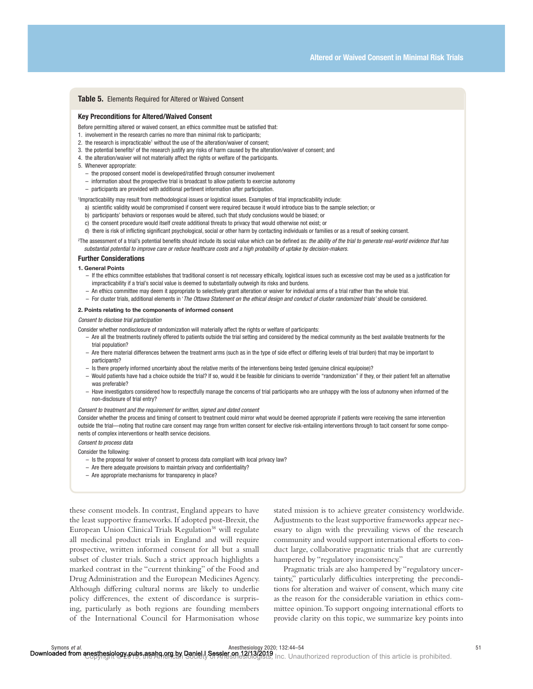#### Table 5. Elements Required for Altered or Waived Consent

#### Key Preconditions for Altered/Waived Consent

Before permitting altered or waived consent, an ethics committee must be satisfied that:

- 1. involvement in the research carries no more than minimal risk to participants;
- 2. the research is impracticable<sup>1</sup> without the use of the alteration/waiver of consent;
- 3. the potential benefits<sup>2</sup> of the research justify any risks of harm caused by the alteration/waiver of consent; and
- 4. the alteration/waiver will not materially affect the rights or welfare of the participants.
- 5. Whenever appropriate:
	- the proposed consent model is developed/ratified through consumer involvement
	- information about the prospective trial is broadcast to allow patients to exercise autonomy
	- participants are provided with additional pertinent information after participation.

1 Impracticability may result from methodological issues or logistical issues. Examples of trial impracticability include:

- a) scientific validity would be compromised if consent were required because it would introduce bias to the sample selection; or
- b) participants' behaviors or responses would be altered, such that study conclusions would be biased; or
- c) the consent procedure would itself create additional threats to privacy that would otherwise not exist; or

d) there is risk of inflicting significant psychological, social or other harm by contacting individuals or families or as a result of seeking consent.

<sup>2</sup>The assessment of a trial's potential benefits should include its social value which can be defined as: *the ability of the trial to generate real-world evidence that has substantial potential to improve care or reduce healthcare costs and a high probability of uptake by decision-makers.*

#### Further Considerations

#### 1. General Points

- If the ethics committee establishes that traditional consent is not necessary ethically, logistical issues such as excessive cost may be used as a justification for impracticability if a trial's social value is deemed to substantially outweigh its risks and burdens.
- An ethics committee may deem it appropriate to selectively grant alteration or waiver for individual arms of a trial rather than the whole trial.
- For cluster trials, additional elements in '*The Ottawa Statement on the ethical design and conduct of cluster randomized trials'* should be considered.

#### 2. Points relating to the components of informed consent

*Consent to disclose trial participation*

- Consider whether nondisclosure of randomization will materially affect the rights or welfare of participants:
	- Are all the treatments routinely offered to patients outside the trial setting and considered by the medical community as the best available treatments for the trial population?
	- Are there material differences between the treatment arms (such as in the type of side effect or differing levels of trial burden) that may be important to participants?
	- Is there properly informed uncertainty about the relative merits of the interventions being tested (genuine clinical equipoise)?
	- Would patients have had a choice outside the trial? If so, would it be feasible for clinicians to override "randomization" if they, or their patient felt an alternative was preferable?
	- Have investigators considered how to respectfully manage the concerns of trial participants who are unhappy with the loss of autonomy when informed of the non-disclosure of trial entry?

#### *Consent to treatment and the requirement for written, signed and dated consent*

Consider whether the process and timing of consent to treatment could mirror what would be deemed appropriate if patients were receiving the same intervention outside the trial—noting that routine care consent may range from written consent for elective risk-entailing interventions through to tacit consent for some components of complex interventions or health service decisions.

*Consent to process data*

Consider the following:

- Is the proposal for waiver of consent to process data compliant with local privacy law?
- Are there adequate provisions to maintain privacy and confidentiality?
- Are appropriate mechanisms for transparency in place?

these consent models. In contrast, England appears to have the least supportive frameworks. If adopted post-Brexit, the European Union Clinical Trials Regulation<sup>38</sup> will regulate all medicinal product trials in England and will require prospective, written informed consent for all but a small subset of cluster trials. Such a strict approach highlights a marked contrast in the "current thinking" of the Food and Drug Administration and the European Medicines Agency. Although differing cultural norms are likely to underlie policy differences, the extent of discordance is surprising, particularly as both regions are founding members of the International Council for Harmonisation whose

stated mission is to achieve greater consistency worldwide. Adjustments to the least supportive frameworks appear necessary to align with the prevailing views of the research community and would support international efforts to conduct large, collaborative pragmatic trials that are currently hampered by "regulatory inconsistency."

Pragmatic trials are also hampered by "regulatory uncertainty," particularly difficulties interpreting the preconditions for alteration and waiver of consent, which many cite as the reason for the considerable variation in ethics committee opinion. To support ongoing international efforts to provide clarity on this topic, we summarize key points into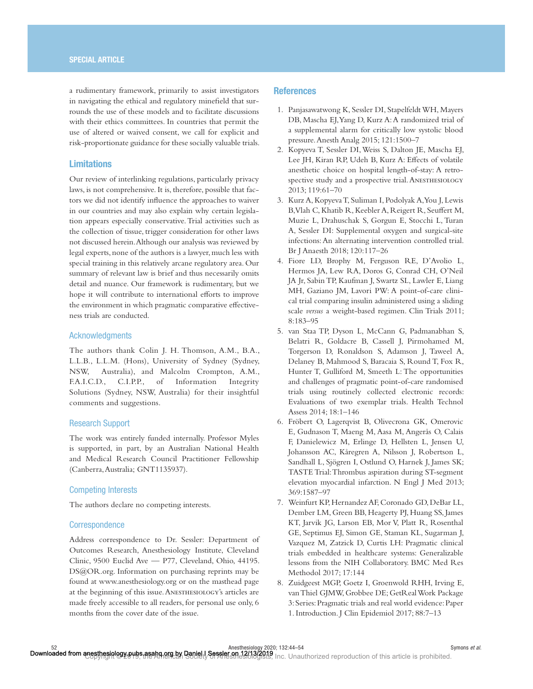a rudimentary framework, primarily to assist investigators in navigating the ethical and regulatory minefield that surrounds the use of these models and to facilitate discussions with their ethics committees. In countries that permit the use of altered or waived consent, we call for explicit and risk-proportionate guidance for these socially valuable trials.

# Limitations

Our review of interlinking regulations, particularly privacy laws, is not comprehensive. It is, therefore, possible that factors we did not identify influence the approaches to waiver in our countries and may also explain why certain legislation appears especially conservative. Trial activities such as the collection of tissue, trigger consideration for other laws not discussed herein. Although our analysis was reviewed by legal experts, none of the authors is a lawyer, much less with special training in this relatively arcane regulatory area. Our summary of relevant law is brief and thus necessarily omits detail and nuance. Our framework is rudimentary, but we hope it will contribute to international efforts to improve the environment in which pragmatic comparative effectiveness trials are conducted.

# Acknowledgments

The authors thank Colin J. H. Thomson, A.M., B.A., L.L.B., L.L.M. (Hons), University of Sydney (Sydney, NSW, Australia), and Malcolm Crompton, A.M., F.A.I.C.D., C.I.P.P., of Information Integrity Solutions (Sydney, NSW, Australia) for their insightful comments and suggestions.

# Research Support

The work was entirely funded internally. Professor Myles is supported, in part, by an Australian National Health and Medical Research Council Practitioner Fellowship (Canberra, Australia; GNT1135937).

# Competing Interests

The authors declare no competing interests.

# **Correspondence**

Address correspondence to Dr. Sessler: Department of Outcomes Research, Anesthesiology Institute, Cleveland Clinic, 9500 Euclid Ave — P77, Cleveland, Ohio, 44195. DS@OR.org. Information on purchasing reprints may be found at <www.anesthesiology.org>or on the masthead page at the beginning of this issue. Anesthesiology's articles are made freely accessible to all readers, for personal use only, 6 months from the cover date of the issue.

# **References**

- 1. Panjasawatwong K, Sessler DI, Stapelfeldt WH, Mayers DB, Mascha EJ, Yang D, Kurz A: A randomized trial of a supplemental alarm for critically low systolic blood pressure. Anesth Analg 2015; 121:1500–7
- 2. Kopyeva T, Sessler DI, Weiss S, Dalton JE, Mascha EJ, Lee JH, Kiran RP, Udeh B, Kurz A: Effects of volatile anesthetic choice on hospital length-of-stay: A retrospective study and a prospective trial. ANESTHESIOLOGY 2013; 119:61–70
- 3. Kurz A, Kopyeva T, Suliman I, Podolyak A, You J, Lewis B, Vlah C, Khatib R, Keebler A, Reigert R, Seuffert M, Muzie L, Drahuschak S, Gorgun E, Stocchi L, Turan A, Sessler DI: Supplemental oxygen and surgical-site infections: An alternating intervention controlled trial. Br J Anaesth 2018; 120:117–26
- 4. Fiore LD, Brophy M, Ferguson RE, D'Avolio L, Hermos JA, Lew RA, Doros G, Conrad CH, O'Neil JA Jr, Sabin TP, Kaufman J, Swartz SL, Lawler E, Liang MH, Gaziano JM, Lavori PW: A point-of-care clinical trial comparing insulin administered using a sliding scale *versus* a weight-based regimen. Clin Trials 2011; 8:183–95
- 5. van Staa TP, Dyson L, McCann G, Padmanabhan S, Belatri R, Goldacre B, Cassell J, Pirmohamed M, Torgerson D, Ronaldson S, Adamson J, Taweel A, Delaney B, Mahmood S, Baracaia S, Round T, Fox R, Hunter T, Gulliford M, Smeeth L: The opportunities and challenges of pragmatic point-of-care randomised trials using routinely collected electronic records: Evaluations of two exemplar trials. Health Technol Assess 2014; 18:1–146
- 6. Fröbert O, Lagerqvist B, Olivecrona GK, Omerovic E, Gudnason T, Maeng M, Aasa M, Angerås O, Calais F, Danielewicz M, Erlinge D, Hellsten L, Jensen U, Johansson AC, Kåregren A, Nilsson J, Robertson L, Sandhall L, Sjögren I, Ostlund O, Harnek J, James SK; TASTE Trial: Thrombus aspiration during ST-segment elevation myocardial infarction. N Engl J Med 2013; 369:1587–97
- 7. Weinfurt KP, Hernandez AF, Coronado GD, DeBar LL, Dember LM, Green BB, Heagerty PJ, Huang SS, James KT, Jarvik JG, Larson EB, Mor V, Platt R, Rosenthal GE, Septimus EJ, Simon GE, Staman KL, Sugarman J, Vazquez M, Zatzick D, Curtis LH: Pragmatic clinical trials embedded in healthcare systems: Generalizable lessons from the NIH Collaboratory. BMC Med Res Methodol 2017; 17:144
- 8. Zuidgeest MGP, Goetz I, Groenwold RHH, Irving E, van Thiel GJMW, Grobbee DE; GetReal Work Package 3: Series: Pragmatic trials and real world evidence: Paper 1. Introduction. J Clin Epidemiol 2017; 88:7–13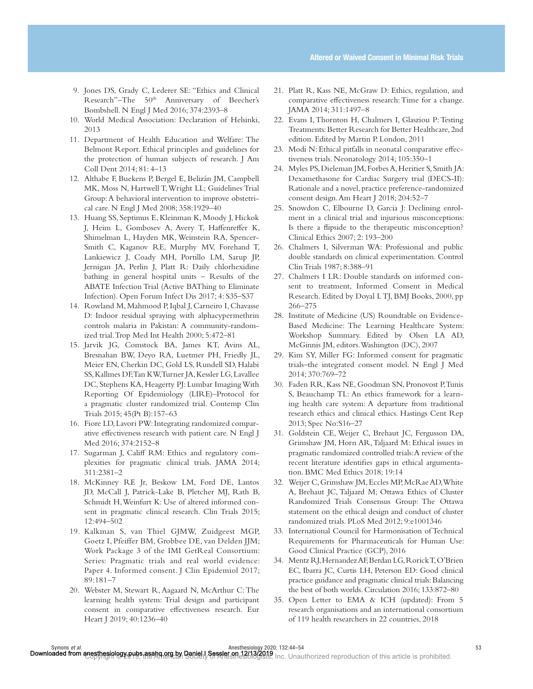- 9. Jones DS, Grady C, Lederer SE: "Ethics and Clinical Research"-The 50<sup>th</sup> Anniversary of Beecher's Bombshell. N Engl J Med 2016; 374:2393–8
- 10. World Medical Association: Declaration of Helsinki, 2013
- 11. Department of Health Education and Welfare: The Belmont Report. Ethical principles and guidelines for the protection of human subjects of research. J Am Coll Dent 2014; 81: 4–13
- 12. Althabe F, Buekens P, Bergel E, Belizán JM, Campbell MK, Moss N, Hartwell T, Wright LL; Guidelines Trial Group: A behavioral intervention to improve obstetrical care. N Engl J Med 2008; 358:1929–40
- 13. Huang SS, Septimus E, Kleinman K, Moody J, Hickok J, Heim L, Gombosev A, Avery T, Haffenreffer K, Shimelman L, Hayden MK, Weinstein RA, Spencer-Smith C, Kaganov RE, Murphy MV, Forehand T, Lankiewicz J, Coady MH, Portillo LM, Sarup JP, Jernigan JA, Perlin J, Platt R: Daily chlorhexidine bathing in general hospital units – Results of the ABATE Infection Trial (Active BAThing to Eliminate Infection). Open Forum Infect Dis 2017; 4: S35–S37
- 14. Rowland M, Mahmood P, Iqbal J, Carneiro I, Chavasse D: Indoor residual spraying with alphacypermethrin controls malaria in Pakistan: A community-randomized trial. Trop Med Int Health 2000; 5:472–81
- 15. Jarvik JG, Comstock BA, James KT, Avins AL, Bresnahan BW, Deyo RA, Luetmer PH, Friedly JL, Meier EN, Cherkin DC, Gold LS, Rundell SD, Halabi SS, Kallmes DF, Tan KW, Turner JA, Kessler LG, Lavallee DC, Stephens KA, Heagerty PJ: Lumbar Imaging With Reporting Of Epidemiology (LIRE)–Protocol for a pragmatic cluster randomized trial. Contemp Clin Trials 2015; 45(Pt B):157–63
- 16. Fiore LD, Lavori PW: Integrating randomized comparative effectiveness research with patient care. N Engl J Med 2016; 374:2152–8
- 17. Sugarman J, Califf RM: Ethics and regulatory complexities for pragmatic clinical trials. JAMA 2014; 311:2381–2
- 18. McKinney RE Jr, Beskow LM, Ford DE, Lantos JD, McCall J, Patrick-Lake B, Pletcher MJ, Rath B, Schmidt H, Weinfurt K: Use of altered informed consent in pragmatic clinical research. Clin Trials 2015; 12:494–502
- 19. Kalkman S, van Thiel GJMW, Zuidgeest MGP, Goetz I, Pfeiffer BM, Grobbee DE, van Delden JJM; Work Package 3 of the IMI GetReal Consortium: Series: Pragmatic trials and real world evidence: Paper 4. Informed consent. J Clin Epidemiol 2017; 89:181–7
- 20. Webster M, Stewart R, Aagaard N, McArthur C: The learning health system: Trial design and participant consent in comparative effectiveness research. Eur Heart J 2019; 40:1236–40
- 21. Platt R, Kass NE, McGraw D: Ethics, regulation, and comparative effectiveness research: Time for a change. JAMA 2014; 311:1497–8
- 22. Evans I, Thornton H, Chalmers I, Glasziou P: Testing Treatments: Better Research for Better Healthcare, 2nd edition. Edited by Martin P. London, 2011
- 23. Modi N: Ethical pitfalls in neonatal comparative effectiveness trials. Neonatology 2014; 105:350–1
- 24. Myles PS, Dieleman JM, Forbes A, Heritier S, Smith JA: Dexamethasone for Cardiac Surgery trial (DECS-II): Rationale and a novel, practice preference-randomized consent design. Am Heart J 2018; 204:52–7
- 25. Snowdon C, Elbourne D, Garcia J: Declining enrolment in a clinical trial and injurious misconceptions: Is there a flipside to the therapeutic misconception? Clinical Ethics 2007; 2: 193–200
- 26. Chalmers I, Silverman WA: Professional and public double standards on clinical experimentation. Control Clin Trials 1987; 8:388–91
- 27. Chalmers I LR: Double standards on informed consent to treatment, Informed Consent in Medical Research. Edited by Doyal L TJ, BMJ Books, 2000, pp 266–275
- 28. Institute of Medicine (US) Roundtable on Evidence-Based Medicine: The Learning Healthcare System: Workshop Summary. Edited by Olsen LA AD, McGinnis JM, editors. Washington (DC), 2007
- 29. Kim SY, Miller FG: Informed consent for pragmatic trials–the integrated consent model. N Engl J Med 2014; 370:769–72
- 30. Faden RR, Kass NE, Goodman SN, Pronovost P, Tunis S, Beauchamp TL: An ethics framework for a learning health care system: A departure from traditional research ethics and clinical ethics. Hastings Cent Rep 2013; Spec No:S16–27
- 31. Goldstein CE, Weijer C, Brehaut JC, Fergusson DA, Grimshaw JM, Horn AR, Taljaard M: Ethical issues in pragmatic randomized controlled trials: A review of the recent literature identifies gaps in ethical argumentation. BMC Med Ethics 2018; 19:14
- 32. Weijer C, Grimshaw JM, Eccles MP, McRae AD, White A, Brehaut JC, Taljaard M; Ottawa Ethics of Cluster Randomized Trials Consensus Group: The Ottawa statement on the ethical design and conduct of cluster randomized trials. PLoS Med 2012; 9:e1001346
- 33. International Council for Harmonisation of Technical Requirements for Pharmaceuticals for Human Use: Good Clinical Practice (GCP), 2016
- 34. Mentz RJ, Hernandez AF, Berdan LG, Rorick T, O'Brien EC, Ibarra JC, Curtis LH, Peterson ED: Good clinical practice guidance and pragmatic clinical trials: Balancing the best of both worlds. Circulation 2016; 133:872–80
- 35. Open Letter to EMA & ICH (updated): From 5 research organisations and an international consortium of 119 health researchers in 22 countries, 2018